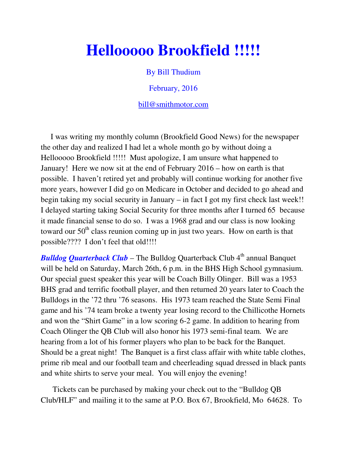## **Hellooooo Brookfield !!!!!**

By Bill Thudium

February, 2016

bill@smithmotor.com

 I was writing my monthly column (Brookfield Good News) for the newspaper the other day and realized I had let a whole month go by without doing a Hellooooo Brookfield !!!!! Must apologize, I am unsure what happened to January! Here we now sit at the end of February 2016 – how on earth is that possible. I haven't retired yet and probably will continue working for another five more years, however I did go on Medicare in October and decided to go ahead and begin taking my social security in January – in fact I got my first check last week!! I delayed starting taking Social Security for three months after I turned 65 because it made financial sense to do so. I was a 1968 grad and our class is now looking toward our  $50<sup>th</sup>$  class reunion coming up in just two years. How on earth is that possible???? I don't feel that old!!!!

**Bulldog Quarterback Club** – The Bulldog Quarterback Club 4<sup>th</sup> annual Banquet will be held on Saturday, March 26th, 6 p.m. in the BHS High School gymnasium. Our special guest speaker this year will be Coach Billy Olinger. Bill was a 1953 BHS grad and terrific football player, and then returned 20 years later to Coach the Bulldogs in the '72 thru '76 seasons. His 1973 team reached the State Semi Final game and his '74 team broke a twenty year losing record to the Chillicothe Hornets and won the "Shirt Game" in a low scoring 6-2 game. In addition to hearing from Coach Olinger the QB Club will also honor his 1973 semi-final team. We are hearing from a lot of his former players who plan to be back for the Banquet. Should be a great night! The Banquet is a first class affair with white table clothes, prime rib meal and our football team and cheerleading squad dressed in black pants and white shirts to serve your meal. You will enjoy the evening!

 Tickets can be purchased by making your check out to the "Bulldog QB Club/HLF" and mailing it to the same at P.O. Box 67, Brookfield, Mo 64628. To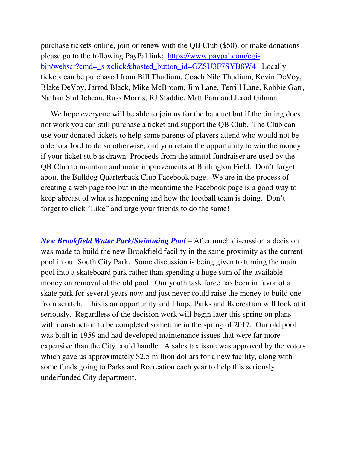purchase tickets online, join or renew with the QB Club (\$50), or make donations please go to the following PayPal link; https://www.paypal.com/cgibin/webscr?cmd=\_s-xclick&hosted\_button\_id=GZSU3F7SYB8W4 Locally tickets can be purchased from Bill Thudium, Coach Nile Thudium, Kevin DeVoy, Blake DeVoy, Jarrod Black, Mike McBroom, Jim Lane, Terrill Lane, Robbie Garr, Nathan Stufflebean, Russ Morris, RJ Staddie, Matt Parn and Jerod Gilman.

We hope everyone will be able to join us for the banquet but if the timing does not work you can still purchase a ticket and support the QB Club. The Club can use your donated tickets to help some parents of players attend who would not be able to afford to do so otherwise, and you retain the opportunity to win the money if your ticket stub is drawn. Proceeds from the annual fundraiser are used by the QB Club to maintain and make improvements at Burlington Field. Don't forget about the Bulldog Quarterback Club Facebook page. We are in the process of creating a web page too but in the meantime the Facebook page is a good way to keep abreast of what is happening and how the football team is doing. Don't forget to click "Like" and urge your friends to do the same!

*New Brookfield Water Park/Swimming Pool* – After much discussion a decision was made to build the new Brookfield facility in the same proximity as the current pool in our South City Park. Some discussion is being given to turning the main pool into a skateboard park rather than spending a huge sum of the available money on removal of the old pool. Our youth task force has been in favor of a skate park for several years now and just never could raise the money to build one from scratch. This is an opportunity and I hope Parks and Recreation will look at it seriously. Regardless of the decision work will begin later this spring on plans with construction to be completed sometime in the spring of 2017. Our old pool was built in 1959 and had developed maintenance issues that were far more expensive than the City could handle. A sales tax issue was approved by the voters which gave us approximately \$2.5 million dollars for a new facility, along with some funds going to Parks and Recreation each year to help this seriously underfunded City department.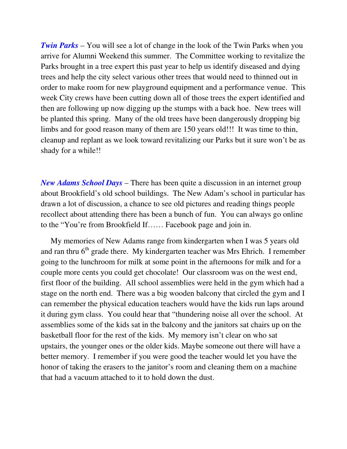*Twin Parks* – You will see a lot of change in the look of the Twin Parks when you arrive for Alumni Weekend this summer. The Committee working to revitalize the Parks brought in a tree expert this past year to help us identify diseased and dying trees and help the city select various other trees that would need to thinned out in order to make room for new playground equipment and a performance venue. This week City crews have been cutting down all of those trees the expert identified and then are following up now digging up the stumps with a back hoe. New trees will be planted this spring. Many of the old trees have been dangerously dropping big limbs and for good reason many of them are 150 years old!!! It was time to thin, cleanup and replant as we look toward revitalizing our Parks but it sure won't be as shady for a while!!

*New Adams School Days* – There has been quite a discussion in an internet group about Brookfield's old school buildings. The New Adam's school in particular has drawn a lot of discussion, a chance to see old pictures and reading things people recollect about attending there has been a bunch of fun. You can always go online to the "You're from Brookfield If…… Facebook page and join in.

 My memories of New Adams range from kindergarten when I was 5 years old and ran thru  $6<sup>th</sup>$  grade there. My kindergarten teacher was Mrs Ehrich. I remember going to the lunchroom for milk at some point in the afternoons for milk and for a couple more cents you could get chocolate! Our classroom was on the west end, first floor of the building. All school assemblies were held in the gym which had a stage on the north end. There was a big wooden balcony that circled the gym and I can remember the physical education teachers would have the kids run laps around it during gym class. You could hear that "thundering noise all over the school. At assemblies some of the kids sat in the balcony and the janitors sat chairs up on the basketball floor for the rest of the kids. My memory isn't clear on who sat upstairs, the younger ones or the older kids. Maybe someone out there will have a better memory. I remember if you were good the teacher would let you have the honor of taking the erasers to the janitor's room and cleaning them on a machine that had a vacuum attached to it to hold down the dust.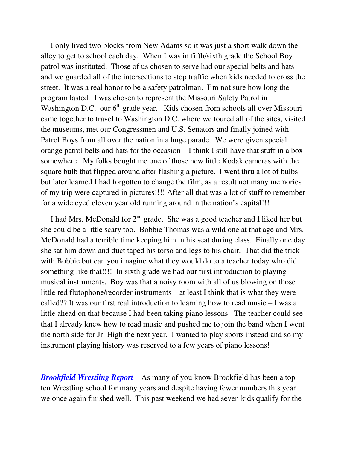I only lived two blocks from New Adams so it was just a short walk down the alley to get to school each day. When I was in fifth/sixth grade the School Boy patrol was instituted. Those of us chosen to serve had our special belts and hats and we guarded all of the intersections to stop traffic when kids needed to cross the street. It was a real honor to be a safety patrolman. I'm not sure how long the program lasted. I was chosen to represent the Missouri Safety Patrol in Washington D.C. our  $6<sup>th</sup>$  grade year. Kids chosen from schools all over Missouri came together to travel to Washington D.C. where we toured all of the sites, visited the museums, met our Congressmen and U.S. Senators and finally joined with Patrol Boys from all over the nation in a huge parade. We were given special orange patrol belts and hats for the occasion – I think I still have that stuff in a box somewhere. My folks bought me one of those new little Kodak cameras with the square bulb that flipped around after flashing a picture. I went thru a lot of bulbs but later learned I had forgotten to change the film, as a result not many memories of my trip were captured in pictures!!!! After all that was a lot of stuff to remember for a wide eyed eleven year old running around in the nation's capital!!!

I had Mrs. McDonald for  $2<sup>nd</sup>$  grade. She was a good teacher and I liked her but she could be a little scary too. Bobbie Thomas was a wild one at that age and Mrs. McDonald had a terrible time keeping him in his seat during class. Finally one day she sat him down and duct taped his torso and legs to his chair. That did the trick with Bobbie but can you imagine what they would do to a teacher today who did something like that!!!! In sixth grade we had our first introduction to playing musical instruments. Boy was that a noisy room with all of us blowing on those little red flutophone/recorder instruments – at least I think that is what they were called?? It was our first real introduction to learning how to read music – I was a little ahead on that because I had been taking piano lessons. The teacher could see that I already knew how to read music and pushed me to join the band when I went the north side for Jr. High the next year. I wanted to play sports instead and so my instrument playing history was reserved to a few years of piano lessons!

*Brookfield Wrestling Report* – As many of you know Brookfield has been a top ten Wrestling school for many years and despite having fewer numbers this year we once again finished well. This past weekend we had seven kids qualify for the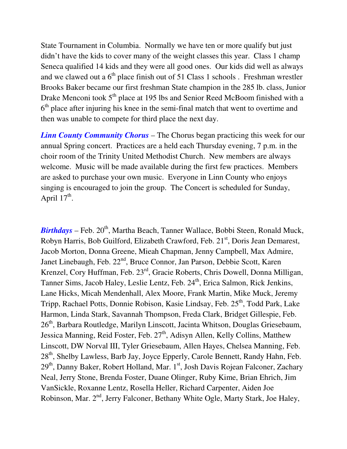State Tournament in Columbia. Normally we have ten or more qualify but just didn't have the kids to cover many of the weight classes this year. Class 1 champ Seneca qualified 14 kids and they were all good ones. Our kids did well as always and we clawed out a  $6<sup>th</sup>$  place finish out of 51 Class 1 schools . Freshman wrestler Brooks Baker became our first freshman State champion in the 285 lb. class, Junior Drake Menconi took  $5<sup>th</sup>$  place at 195 lbs and Senior Reed McBoom finished with a 6<sup>th</sup> place after injuring his knee in the semi-final match that went to overtime and then was unable to compete for third place the next day.

*Linn County Community Chorus* – The Chorus began practicing this week for our annual Spring concert. Practices are a held each Thursday evening, 7 p.m. in the choir room of the Trinity United Methodist Church. New members are always welcome. Music will be made available during the first few practices. Members are asked to purchase your own music. Everyone in Linn County who enjoys singing is encouraged to join the group. The Concert is scheduled for Sunday, April  $17^{\text{th}}$ .

*Birthdays* – Feb. 20<sup>th</sup>, Martha Beach, Tanner Wallace, Bobbi Steen, Ronald Muck, Robyn Harris, Bob Guilford, Elizabeth Crawford, Feb. 21<sup>st</sup>, Doris Jean Demarest, Jacob Morton, Donna Greene, Mieah Chapman, Jenny Campbell, Max Admire, Janet Linebaugh, Feb. 22<sup>nd</sup>, Bruce Connor, Jan Parson, Debbie Scott, Karen Krenzel, Cory Huffman, Feb. 23rd, Gracie Roberts, Chris Dowell, Donna Milligan, Tanner Sims, Jacob Haley, Leslie Lentz, Feb. 24<sup>th</sup>, Erica Salmon, Rick Jenkins, Lane Hicks, Micah Mendenhall, Alex Moore, Frank Martin, Mike Muck, Jeremy Tripp, Rachael Potts, Donnie Robison, Kasie Lindsay, Feb. 25<sup>th</sup>, Todd Park, Lake Harmon, Linda Stark, Savannah Thompson, Freda Clark, Bridget Gillespie, Feb. 26<sup>th</sup>, Barbara Routledge, Marilyn Linscott, Jacinta Whitson, Douglas Griesebaum, Jessica Manning, Reid Foster, Feb. 27<sup>th</sup>, Adisyn Allen, Kelly Collins, Matthew Linscott, DW Norval III, Tyler Griesebaum, Allen Hayes, Chelsea Manning, Feb.  $28<sup>th</sup>$ , Shelby Lawless, Barb Jay, Joyce Epperly, Carole Bennett, Randy Hahn, Feb. 29<sup>th</sup>, Danny Baker, Robert Holland, Mar. 1<sup>st</sup>, Josh Davis Rojean Falconer, Zachary Neal, Jerry Stone, Brenda Foster, Duane Olinger, Ruby Kime, Brian Ehrich, Jim VanSickle, Roxanne Lentz, Rosella Heller, Richard Carpenter, Aiden Joe Robinson, Mar. 2<sup>nd</sup>, Jerry Falconer, Bethany White Ogle, Marty Stark, Joe Haley,